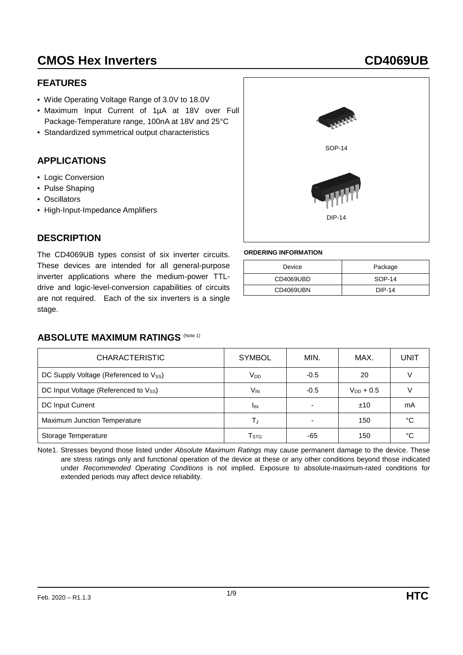#### **FEATURES**

- Wide Operating Voltage Range of 3.0V to 18.0V
- Maximum Input Current of 1µA at 18V over Full Package-Temperature range, 100nA at 18V and 25°C
- Standardized symmetrical output characteristics

#### **APPLICATIONS**

- Logic Conversion
- Pulse Shaping

**DESCRIPTION**

• Oscillators

stage.

• High-Input-Impedance Amplifiers



#### **ORDERING INFORMATION**

| Device    | Package |
|-----------|---------|
| CD4069UBD | SOP-14  |
| CD4069UBN | DIP-14  |

#### **ABSOLUTE MAXIMUM RATINGS (Note 1)**

The CD4069UB types consist of six inverter circuits. These devices are intended for all general-purpose inverter applications where the medium-power TTLdrive and logic-level-conversion capabilities of circuits are not required. Each of the six inverters is a single

| <b>CHARACTERISTIC</b>                 | <b>SYMBOL</b>               | MIN.                     | MAX.           | <b>UNIT</b> |
|---------------------------------------|-----------------------------|--------------------------|----------------|-------------|
| DC Supply Voltage (Referenced to Vss) | V <sub>DD</sub>             | $-0.5$                   | 20             |             |
| DC Input Voltage (Referenced to Vss)  | V <sub>IN</sub>             | $-0.5$                   | $V_{DD}$ + 0.5 |             |
| DC Input Current                      | <sup>I</sup> IN             | $\overline{\phantom{0}}$ | ±10            | mA          |
| Maximum Junction Temperature          | T.                          | $\overline{\phantom{0}}$ | 150            | °C          |
| Storage Temperature                   | $\mathsf{T}_{\texttt{STG}}$ | -65                      | 150            | °C          |

Note1. Stresses beyond those listed under *Absolute Maximum Ratings* may cause permanent damage to the device. These are stress ratings only and functional operation of the device at these or any other conditions beyond those indicated under *Recommended Operating Conditions* is not implied. Exposure to absolute-maximum-rated conditions for extended periods may affect device reliability.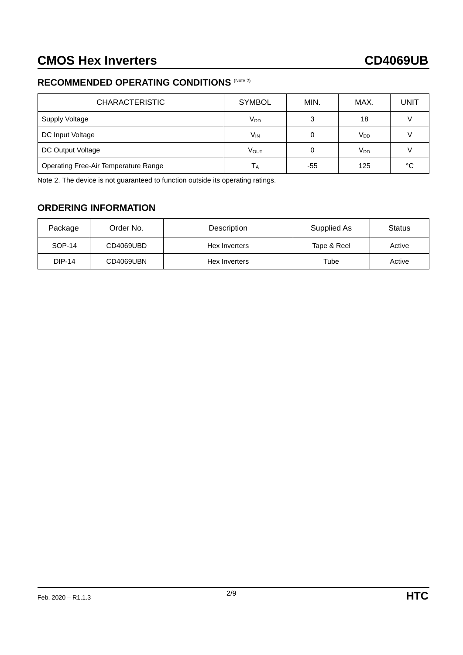### **RECOMMENDED OPERATING CONDITIONS** (Note 2)

| <b>CHARACTERISTIC</b>                | <b>SYMBOL</b>   | MIN. | MAX.            | UNIT |
|--------------------------------------|-----------------|------|-----------------|------|
| Supply Voltage                       | $V_{DD}$        | 3    | 18              |      |
| DC Input Voltage                     | V <sub>IN</sub> | 0    | V <sub>DD</sub> |      |
| DC Output Voltage                    | VOUT            | 0    | V <sub>DD</sub> |      |
| Operating Free-Air Temperature Range | Т <sub>А</sub>  | -55  | 125             | °C   |

Note 2. The device is not guaranteed to function outside its operating ratings.

### **ORDERING INFORMATION**

| Package       | Order No. | Description   | Supplied As | Status |
|---------------|-----------|---------------|-------------|--------|
| SOP-14        | CD4069UBD | Hex Inverters | Tape & Reel | Active |
| <b>DIP-14</b> | CD4069UBN | Hex Inverters | Tube        | Active |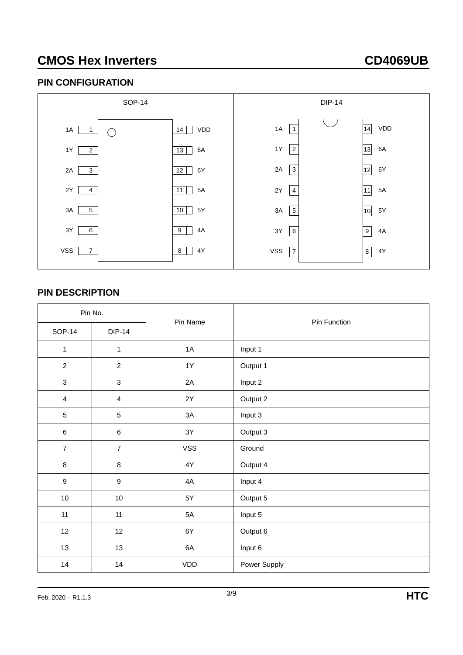#### **PIN CONFIGURATION**



#### **PIN DESCRIPTION**

| Pin No.                 |                  | Pin Name   |              |  |  |
|-------------------------|------------------|------------|--------------|--|--|
| <b>SOP-14</b>           | <b>DIP-14</b>    |            | Pin Function |  |  |
| $\mathbf{1}$            | $\mathbf{1}$     | 1A         | Input 1      |  |  |
| $\overline{2}$          | $\overline{2}$   | 1Y         | Output 1     |  |  |
| $\sqrt{3}$              | $\sqrt{3}$       | 2A         | Input 2      |  |  |
| $\overline{\mathbf{4}}$ | $\overline{4}$   | 2Y         | Output 2     |  |  |
| $\sqrt{5}$              | $\sqrt{5}$       | 3A         | Input 3      |  |  |
| $\,6\,$                 | $\,6\,$          | 3Y         | Output 3     |  |  |
| $\overline{7}$          | $\overline{7}$   | <b>VSS</b> | Ground       |  |  |
| $\, 8$                  | $\,8\,$          | 4Y         | Output 4     |  |  |
| $\boldsymbol{9}$        | $\boldsymbol{9}$ | 4A         | Input 4      |  |  |
| 10                      | $10\,$           | 5Y         | Output 5     |  |  |
| 11                      | 11               | 5A         | Input 5      |  |  |
| 12                      | 12               | 6Y         | Output 6     |  |  |
| 13                      | 13               | 6A         | Input 6      |  |  |
| 14                      | 14               | VDD        | Power Supply |  |  |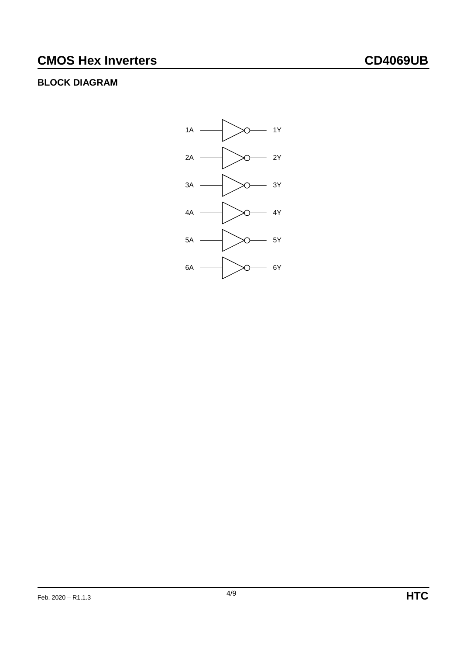## **BLOCK DIAGRAM**

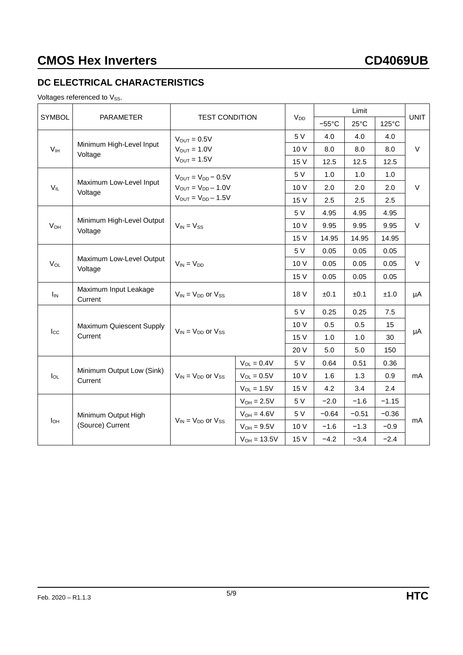## **DC ELECTRICAL CHARACTERISTICS**

Voltages referenced to  $V_{SS}$ .

| <b>SYMBOL</b><br><b>PARAMETER</b> |                                         | <b>TEST CONDITION</b>                   |                  |          | Limit           |                |         | <b>UNIT</b> |  |
|-----------------------------------|-----------------------------------------|-----------------------------------------|------------------|----------|-----------------|----------------|---------|-------------|--|
|                                   |                                         |                                         |                  | $V_{DD}$ | $-55^{\circ}$ C | $25^{\circ}$ C | 125°C   |             |  |
|                                   | $V_{OUT} = 0.5V$                        |                                         |                  | 5 V      | 4.0             | 4.0            | 4.0     |             |  |
| V <sub>IH</sub>                   | Minimum High-Level Input<br>Voltage     | $V_{OUT} = 1.0V$                        |                  |          | 8.0             | 8.0            | 8.0     | V           |  |
|                                   |                                         | $V_{\text{OUT}} = 1.5V$                 |                  | 15 V     | 12.5            | 12.5           | 12.5    |             |  |
|                                   |                                         | $V_{OUT} = V_{DD} - 0.5V$               |                  | 5 V      | 1.0             | 1.0            | 1.0     |             |  |
| $V_{IL}$                          | Maximum Low-Level Input<br>Voltage      | $V_{\text{OUT}} = V_{\text{DD}} - 1.0V$ |                  | 10 V     | 2.0             | 2.0            | 2.0     | $\vee$      |  |
|                                   |                                         | $V_{OUT} = V_{DD} - 1.5V$               |                  | 15 V     | 2.5             | 2.5            | 2.5     |             |  |
|                                   |                                         |                                         |                  | 5 V      | 4.95            | 4.95           | 4.95    | V           |  |
| $V_{OH}$                          | Minimum High-Level Output<br>Voltage    | $V_{IN} = V_{SS}$                       |                  | 10 V     | 9.95            | 9.95           | 9.95    |             |  |
|                                   |                                         |                                         |                  | 15 V     | 14.95           | 14.95          | 14.95   |             |  |
|                                   |                                         | $V_{IN} = V_{DD}$                       |                  | 5 V      | 0.05            | 0.05           | 0.05    | V           |  |
| $V_{OL}$                          | Maximum Low-Level Output<br>Voltage     |                                         |                  | 10 V     | 0.05            | 0.05           | 0.05    |             |  |
|                                   |                                         |                                         |                  | 15 V     | 0.05            | 0.05           | 0.05    |             |  |
| $I_{IN}$                          | Maximum Input Leakage<br>Current        | $V_{IN}$ = $V_{DD}$ or $V_{SS}$         |                  | 18 V     | ±0.1            | ±0.1           | ±1.0    | μA          |  |
|                                   |                                         |                                         |                  | 5 V      | 0.25            | 0.25           | 7.5     |             |  |
|                                   | Maximum Quiescent Supply                |                                         |                  | 10 V     | 0.5             | 0.5            | 15      |             |  |
| $I_{\rm CC}$                      | Current                                 | $V_{IN} = V_{DD}$ or $V_{SS}$           |                  | 15 V     | 1.0             | 1.0            | 30      | μA          |  |
|                                   |                                         |                                         |                  | 20 V     | 5.0             | 5.0            | 150     |             |  |
|                                   |                                         |                                         | $V_{OL} = 0.4V$  | 5 V      | 0.64            | 0.51           | 0.36    |             |  |
| $I_{OL}$                          | Minimum Output Low (Sink)<br>Current    | $V_{IN}$ = $V_{DD}$ or $V_{SS}$         | $V_{OL} = 0.5V$  | 10 V     | 1.6             | 1.3            | 0.9     | mA          |  |
|                                   |                                         |                                         | $V_{OL} = 1.5V$  | 15 V     | 4.2             | 3.4            | 2.4     |             |  |
|                                   | Minimum Output High<br>(Source) Current | $V_{IN}$ = $V_{DD}$ or $V_{SS}$         | $V_{OH} = 2.5V$  | 5 V      | $-2.0$          | $-1.6$         | $-1.15$ | mA          |  |
|                                   |                                         |                                         | $V_{OH} = 4.6V$  | 5 V      | $-0.64$         | $-0.51$        | $-0.36$ |             |  |
| $I_{OH}$                          |                                         |                                         | $V_{OH} = 9.5V$  | 10 V     | $-1.6$          | $-1.3$         | $-0.9$  |             |  |
|                                   |                                         |                                         | $V_{OH} = 13.5V$ | 15 V     | $-4.2$          | $-3.4$         | $-2.4$  |             |  |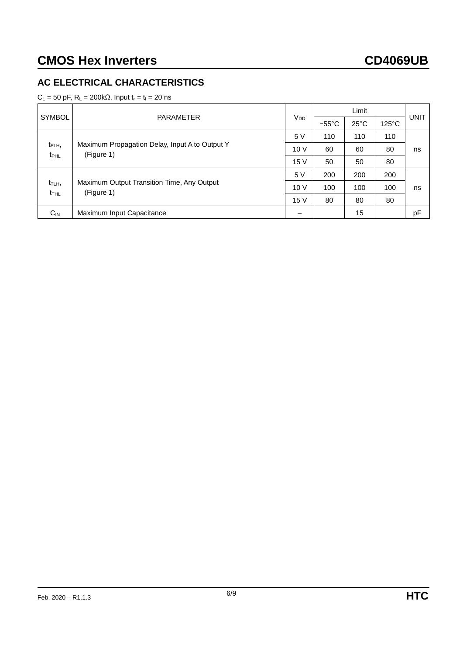### **AC ELECTRICAL CHARACTERISTICS**

 $C_L$  = 50 pF,  $R_L$  = 200kΩ, Input  $t_r = t_f$  = 20 ns

|                                          |                                                              | $V_{DD}$ | Limit           |                |                 |             |
|------------------------------------------|--------------------------------------------------------------|----------|-----------------|----------------|-----------------|-------------|
| SYMBOL                                   | <b>PARAMETER</b>                                             |          | $-55^{\circ}$ C | $25^{\circ}$ C | $125^{\circ}$ C | <b>UNIT</b> |
|                                          |                                                              | 5 V      | 110             | 110            | 110             |             |
| t <sub>PLH</sub> ,<br>$t_{\text{PHL}}$   | Maximum Propagation Delay, Input A to Output Y<br>(Figure 1) | 10V      | 60              | 60             | 80              | ns          |
|                                          |                                                              | 15 V     | 50              | 50             | 80              |             |
|                                          |                                                              | 5 V      | 200             | 200            | 200             |             |
| t <sub>TLH</sub> ,<br>$t$ <sub>THL</sub> | Maximum Output Transition Time, Any Output<br>(Figure 1)     | 10V      | 100             | 100            | 100             | ns          |
|                                          |                                                              | 15 V     | 80              | 80             | 80              |             |
| $C_{IN}$                                 | Maximum Input Capacitance                                    |          |                 | 15             |                 | pF          |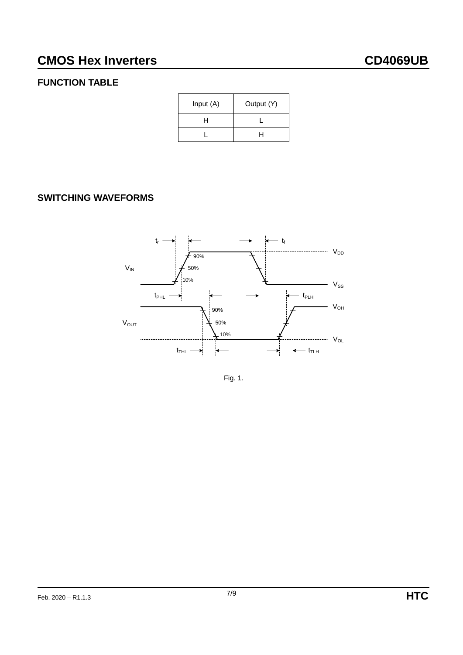## **FUNCTION TABLE**

| Input (A) | Output (Y) |
|-----------|------------|
| н         |            |
|           | н          |

## **SWITCHING WAVEFORMS**



Fig. 1.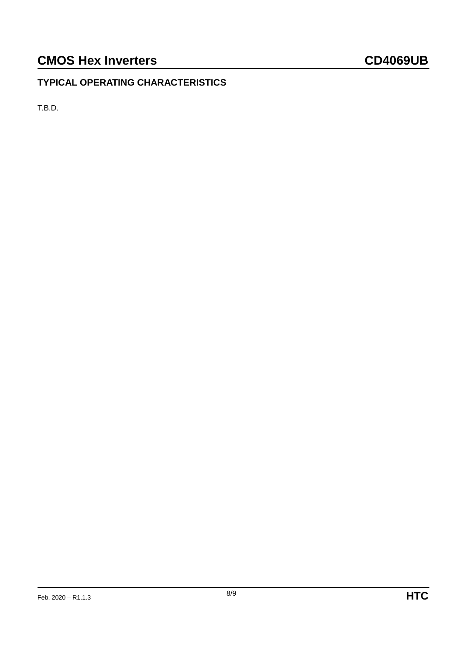## **TYPICAL OPERATING CHARACTERISTICS**

T.B.D.